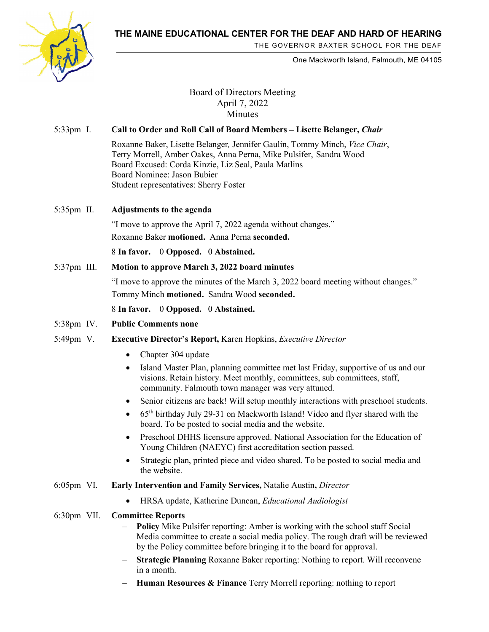

THE GOVERNOR BAXTER SCHOOL FOR THE DEAF

One Mackworth Island, Falmouth, ME 04105

## Board of Directors Meeting April 7, 2022 Minutes

## 5:33pm I. **Call to Order and Roll Call of Board Members – Lisette Belanger,** *Chair*

- Roxanne Baker, Lisette Belanger*,* Jennifer Gaulin, Tommy Minch, *Vice Chair*, Terry Morrell, Amber Oakes, Anna Perna, Mike Pulsifer, Sandra Wood Board Excused: Corda Kinzie, Liz Seal, Paula Matlins Board Nominee: Jason Bubier Student representatives: Sherry Foster
- 5:35pm II. **Adjustments to the agenda**

"I move to approve the April 7, 2022 agenda without changes." Roxanne Baker **motioned.** Anna Perna **seconded.**

8 **In favor.** 0 **Opposed.** 0 **Abstained.** 

5:37pm III. **Motion to approve March 3, 2022 board minutes**

"I move to approve the minutes of the March 3, 2022 board meeting without changes." Tommy Minch **motioned.** Sandra Wood **seconded.**

8 **In favor.** 0 **Opposed.** 0 **Abstained.** 

- 5:38pm IV. **Public Comments none**
- 5:49pm V. **Executive Director's Report,** Karen Hopkins, *Executive Director*
	- Chapter 304 update
	- Island Master Plan, planning committee met last Friday, supportive of us and our visions. Retain history. Meet monthly, committees, sub committees, staff, community. Falmouth town manager was very attuned.
	- Senior citizens are back! Will setup monthly interactions with preschool students.
	- 65<sup>th</sup> birthday July 29-31 on Mackworth Island! Video and flyer shared with the board. To be posted to social media and the website.
	- Preschool DHHS licensure approved. National Association for the Education of Young Children (NAEYC) first accreditation section passed.
	- Strategic plan, printed piece and video shared. To be posted to social media and the website.
- 6:05pm VI. **Early Intervention and Family Services,** Natalie Austin**,** *Director*
	- HRSA update, Katherine Duncan, *Educational Audiologist*
- 6:30pm VII. **Committee Reports** 
	- **Policy** Mike Pulsifer reporting: Amber is working with the school staff Social Media committee to create a social media policy. The rough draft will be reviewed by the Policy committee before bringing it to the board for approval.
	- **Strategic Planning** Roxanne Baker reporting: Nothing to report. Will reconvene in a month.
	- − **Human Resources & Finance** Terry Morrell reporting: nothing to report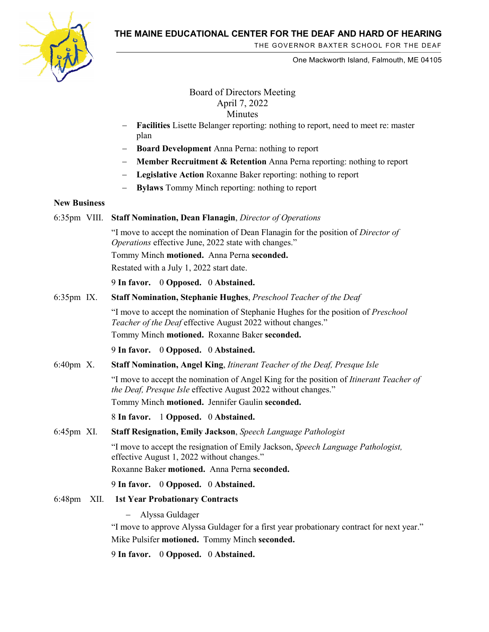

THE GOVERNOR BAXTER SCHOOL FOR THE DEAF

One Mackworth Island, Falmouth, ME 04105

Board of Directors Meeting April 7, 2022 Minutes

- − **Facilities** Lisette Belanger reporting: nothing to report, need to meet re: master plan
- Board Development Anna Perna: nothing to report
- − **Member Recruitment & Retention** Anna Perna reporting: nothing to report
- − **Legislative Action** Roxanne Baker reporting: nothing to report
- Bylaws Tommy Minch reporting: nothing to report

### **New Business**

#### 6:35pm VIII. **Staff Nomination, Dean Flanagin**, *Director of Operations*

"I move to accept the nomination of Dean Flanagin for the position of *Director of Operations* effective June, 2022 state with changes."

Tommy Minch **motioned.** Anna Perna **seconded.**

Restated with a July 1, 2022 start date.

9 **In favor.** 0 **Opposed.** 0 **Abstained.** 

6:35pm IX. **Staff Nomination, Stephanie Hughes**, *Preschool Teacher of the Deaf*

"I move to accept the nomination of Stephanie Hughes for the position of *Preschool Teacher of the Deaf* effective August 2022 without changes."

Tommy Minch **motioned.** Roxanne Baker **seconded.**

9 **In favor.** 0 **Opposed.** 0 **Abstained.** 

6:40pm X. **Staff Nomination, Angel King**, *Itinerant Teacher of the Deaf, Presque Isle*

"I move to accept the nomination of Angel King for the position of *Itinerant Teacher of the Deaf, Presque Isle* effective August 2022 without changes."

Tommy Minch **motioned.** Jennifer Gaulin **seconded.**

8 **In favor.** 1 **Opposed.** 0 **Abstained.** 

6:45pm XI. **Staff Resignation, Emily Jackson**, *Speech Language Pathologist*

"I move to accept the resignation of Emily Jackson, *Speech Language Pathologist,*  effective August 1, 2022 without changes."

Roxanne Baker **motioned.** Anna Perna **seconded.**

9 **In favor.** 0 **Opposed.** 0 **Abstained.** 

6:48pm XII. **1st Year Probationary Contracts**

− Alyssa Guldager

"I move to approve Alyssa Guldager for a first year probationary contract for next year." Mike Pulsifer **motioned.** Tommy Minch **seconded.**

9 **In favor.** 0 **Opposed.** 0 **Abstained.**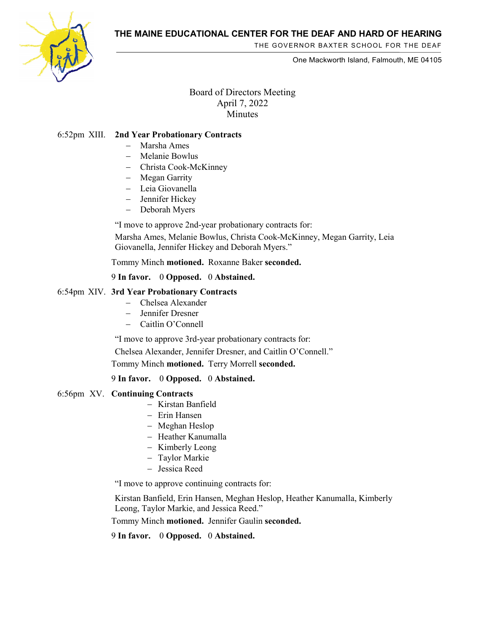

THE GOVERNOR BAXTER SCHOOL FOR THE DEAF

One Mackworth Island, Falmouth, ME 04105

## Board of Directors Meeting April 7, 2022 **Minutes**

## 6:52pm XIII. **2nd Year Probationary Contracts**

- − Marsha Ames
- − Melanie Bowlus
- − Christa Cook-McKinney
- − Megan Garrity
- − Leia Giovanella
- − Jennifer Hickey
- − Deborah Myers

"I move to approve 2nd-year probationary contracts for:

Marsha Ames, Melanie Bowlus, Christa Cook-McKinney, Megan Garrity, Leia Giovanella, Jennifer Hickey and Deborah Myers."

## Tommy Minch **motioned.** Roxanne Baker **seconded.**

## 9 **In favor.** 0 **Opposed.** 0 **Abstained.**

#### 6:54pm XIV. **3rd Year Probationary Contracts**

- − Chelsea Alexander
- − Jennifer Dresner
- − Caitlin O'Connell

"I move to approve 3rd-year probationary contracts for:

Chelsea Alexander, Jennifer Dresner, and Caitlin O'Connell."

Tommy Minch **motioned.** Terry Morrell **seconded.**

#### 9 **In favor.** 0 **Opposed.** 0 **Abstained.**

### 6:56pm XV. **Continuing Contracts**

- − Kirstan Banfield
- − Erin Hansen
- − Meghan Heslop
- − Heather Kanumalla
- − Kimberly Leong
- − Taylor Markie
- − Jessica Reed

"I move to approve continuing contracts for:

Kirstan Banfield, Erin Hansen, Meghan Heslop, Heather Kanumalla, Kimberly Leong, Taylor Markie, and Jessica Reed."

Tommy Minch **motioned.** Jennifer Gaulin **seconded.**

9 **In favor.** 0 **Opposed.** 0 **Abstained.**